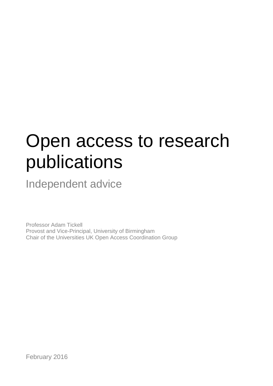# Open access to research publications

Independent advice

Professor Adam Tickell Provost and Vice-Principal, University of Birmingham Chair of the Universities UK Open Access Coordination Group

February 2016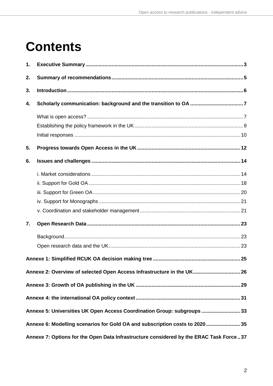### **Contents**

| 1.                                                                                     |  |  |  |  |
|----------------------------------------------------------------------------------------|--|--|--|--|
| 2.                                                                                     |  |  |  |  |
| 3.                                                                                     |  |  |  |  |
| 4.                                                                                     |  |  |  |  |
|                                                                                        |  |  |  |  |
|                                                                                        |  |  |  |  |
|                                                                                        |  |  |  |  |
| 5.                                                                                     |  |  |  |  |
| 6.                                                                                     |  |  |  |  |
|                                                                                        |  |  |  |  |
|                                                                                        |  |  |  |  |
|                                                                                        |  |  |  |  |
|                                                                                        |  |  |  |  |
|                                                                                        |  |  |  |  |
| 7.                                                                                     |  |  |  |  |
|                                                                                        |  |  |  |  |
|                                                                                        |  |  |  |  |
|                                                                                        |  |  |  |  |
| Annexe 2: Overview of selected Open Access Infrastructure in the UK 26                 |  |  |  |  |
|                                                                                        |  |  |  |  |
|                                                                                        |  |  |  |  |
| Annexe 5: Universities UK Open Access Coordination Group: subgroups 33                 |  |  |  |  |
| Annexe 6: Modelling scenarios for Gold OA and subscription costs to 2020 35            |  |  |  |  |
| Annexe 7: Options for the Open Data Infrastructure considered by the ERAC Task Force37 |  |  |  |  |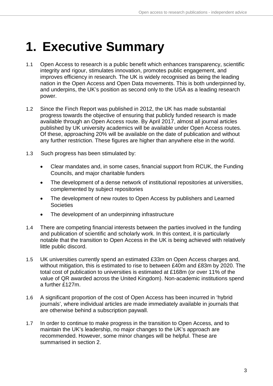## <span id="page-2-0"></span>**1. Executive Summary**

- 1.1 Open Access to research is a public benefit which enhances transparency, scientific integrity and rigour, stimulates innovation, promotes public engagement, and improves efficiency in research. The UK is widely recognised as being the leading nation in the Open Access and Open Data movements. This is both underpinned by, and underpins, the UK's position as second only to the USA as a leading research power.
- 1.2 Since the Finch Report was published in 2012, the UK has made substantial progress towards the objective of ensuring that publicly funded research is made available through an Open Access route. By April 2017, almost all journal articles published by UK university academics will be available under Open Access routes. Of these, approaching 20% will be available on the date of publication and without any further restriction. These figures are higher than anywhere else in the world.
- 1.3 Such progress has been stimulated by:
	- Clear mandates and, in some cases, financial support from RCUK, the Funding Councils, and major charitable funders
	- The development of a dense network of institutional repositories at universities, complemented by subject repositories
	- The development of new routes to Open Access by publishers and Learned **Societies**
	- The development of an underpinning infrastructure
- 1.4 There are competing financial interests between the parties involved in the funding and publication of scientific and scholarly work. In this context, it is particularly notable that the transition to Open Access in the UK is being achieved with relatively little public discord.
- 1.5 UK universities currently spend an estimated £33m on Open Access charges and, without mitigation, this is estimated to rise to between £40m and £83m by 2020. The total cost of publication to universities is estimated at £168m (or over 11% of the value of QR awarded across the United Kingdom). Non-academic institutions spend a further £127m.
- 1.6 A significant proportion of the cost of Open Access has been incurred in 'hybrid journals', where individual articles are made immediately available in journals that are otherwise behind a subscription paywall.
- 1.7 In order to continue to make progress in the transition to Open Access, and to maintain the UK's leadership, no major changes to the UK's approach are recommended. However, some minor changes will be helpful. These are summarised in section 2.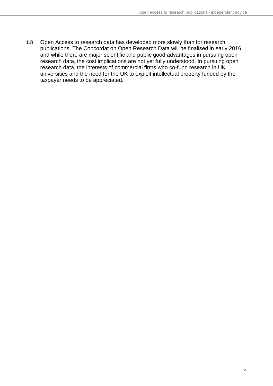1.8 Open Access to research data has developed more slowly than for research publications. The Concordat on Open Research Data will be finalised in early 2016, and while there are major scientific and public good advantages in pursuing open research data, the cost implications are not yet fully understood. In pursuing open research data, the interests of commercial firms who co-fund research in UK universities and the need for the UK to exploit intellectual property funded by the taxpayer needs to be appreciated.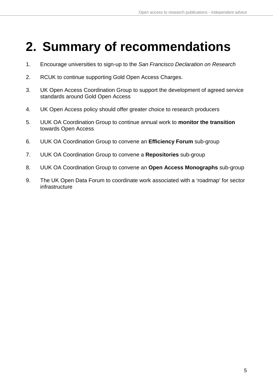## <span id="page-4-0"></span>**2. Summary of recommendations**

- 1. Encourage universities to sign-up to the *San Francisco Declaration on Research*
- 2. RCUK to continue supporting Gold Open Access Charges.
- 3. UK Open Access Coordination Group to support the development of agreed service standards around Gold Open Access
- 4. UK Open Access policy should offer greater choice to research producers
- 5. UUK OA Coordination Group to continue annual work to **monitor the transition** towards Open Access
- 6. UUK OA Coordination Group to convene an **Efficiency Forum** sub-group
- 7. UUK OA Coordination Group to convene a **Repositories** sub-group
- 8. UUK OA Coordination Group to convene an **Open Access Monographs** sub-group
- 9. The UK Open Data Forum to coordinate work associated with a 'roadmap' for sector infrastructure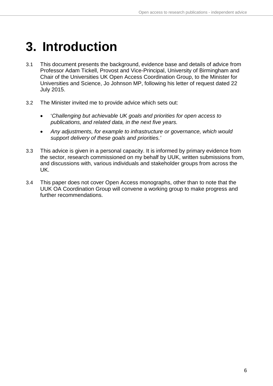### <span id="page-5-0"></span>**3. Introduction**

- 3.1 This document presents the background, evidence base and details of advice from Professor Adam Tickell, Provost and Vice-Principal, University of Birmingham and Chair of the Universities UK Open Access Coordination Group, to the Minister for Universities and Science, Jo Johnson MP, following his letter of request dated 22 July 2015.
- 3.2 The Minister invited me to provide advice which sets out:
	- '*Challenging but achievable UK goals and priorities for open access to publications, and related data, in the next five years.*
	- *Any adjustments, for example to infrastructure or governance, which would support delivery of these goals and priorities.'*
- 3.3 This advice is given in a personal capacity. It is informed by primary evidence from the sector, research commissioned on my behalf by UUK, written submissions from, and discussions with, various individuals and stakeholder groups from across the UK.
- 3.4 This paper does not cover Open Access monographs, other than to note that the UUK OA Coordination Group will convene a working group to make progress and further recommendations.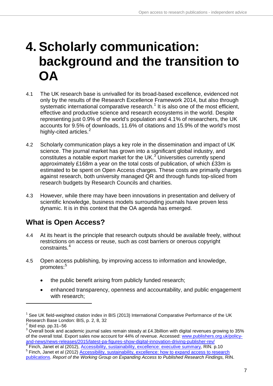## <span id="page-6-0"></span>**4. Scholarly communication: background and the transition to OA**

- 4.1 The UK research base is unrivalled for its broad-based excellence, evidenced not only by the results of the Research Excellence Framework 2014, but also through systematic international comparative research.<sup>[1](#page-6-2)</sup> It is also one of the most efficient, effective and productive science and research ecosystems in the world. Despite representing just 0.9% of the world's population and 4.1% of researchers, the UK accounts for 9.5% of downloads, 11.6% of citations and 15.9% of the world's most highly-cited articles.<sup>[2](#page-6-3)</sup>
- 4.2 Scholarly communication plays a key role in the dissemination and impact of UK science. The journal market has grown into a significant global industry, and constitutes a notable export market for the UK.<sup>[3](#page-6-4)</sup> Universities currently spend approximately £168m a year on the total costs of publication, of which £33m is estimated to be spent on Open Access charges. These costs are primarily charges against research, both university managed QR and through funds top-sliced from research budgets by Research Councils and charities.
- 4.3 However, while there may have been innovations in presentation and delivery of scientific knowledge, business models surrounding journals have proven less dynamic. It is in this context that the OA agenda has emerged.

### <span id="page-6-1"></span>**What is Open Access?**

- 4.4 At its heart is the principle that research outputs should be available freely, without restrictions on access or reuse, such as cost barriers or onerous copyright constraints.[4](#page-6-5)
- 4.5 Open access publishing, by improving access to information and knowledge, promotes:<sup>[5](#page-6-6)</sup>
	- the public benefit arising from publicly funded research;
	- enhanced transparency, openness and accountability, and public engagement with research;

<span id="page-6-2"></span> $1$  See UK field-weighted citation index in BIS (2013) International Comparative Performance of the UK Research Base London: BIS, p. 2, 8, 32

<span id="page-6-3"></span> $<sup>2</sup>$  Ibid esp. pp. 31-56</sup>

<span id="page-6-4"></span> $3$  Overall book and academic journal sales remain steady at £4.3billion with digital revenues growing to 35% of the overall total. Export sales now account for 44% of revenue. Accessed: [www.publishers.org.uk/policy](http://www.publishers.org.uk/policy-and-news/news-releases/2015/latest-pa-figures-show-digital-innovation-driving-publisher-rev/)[and-news/news-releases/2015/latest-pa-figures-show-digital-innovation-driving-publisher-rev/](http://www.publishers.org.uk/policy-and-news/news-releases/2015/latest-pa-figures-show-digital-innovation-driving-publisher-rev/)<br>
<sup>4</sup> Finch, Janet et al (2012), Accessibility, sustainability, excellence: executive summary, RIN. p.10

<span id="page-6-5"></span>

<span id="page-6-6"></span><sup>&</sup>lt;sup>5</sup> Finch, Janet et al (2012), *Accessibility*, sustainability, excellence: how to expand access to research [publications.](http://www.researchinfonet.org/wp-content/uploads/2012/06/Finch-Group-report-FINAL-VERSION.pdf) *Report of the Working Group on Expanding Access to Published Research Findings, RIN.*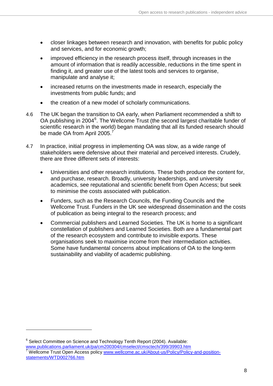- closer linkages between research and innovation, with benefits for public policy and services, and for economic growth;
- improved efficiency in the research process itself, through increases in the amount of information that is readily accessible, reductions in the time spent in finding it, and greater use of the latest tools and services to organise, manipulate and analyse it;
- increased returns on the investments made in research, especially the investments from public funds; and
- the creation of a new model of scholarly communications.
- 4.6 The UK began the transition to OA early, when Parliament recommended a shift to OA publishing in 2004<sup>[6](#page-7-1)</sup>. The Wellcome Trust (the second largest charitable funder of scientific research in the world) began mandating that all its funded research should be made OA from April 2005.<sup>[7](#page-7-2)</sup>
- 4.7 In practice, initial progress in implementing OA was slow, as a wide range of stakeholders were defensive about their material and perceived interests. Crudely, there are three different sets of interests:
	- Universities and other research institutions. These both produce the content for, and purchase, research. Broadly, university leaderships, and university academics, see reputational and scientific benefit from Open Access; but seek to minimise the costs associated with publication.
	- Funders, such as the Research Councils, the Funding Councils and the Wellcome Trust. Funders in the UK see widespread dissemination and the costs of publication as being integral to the research process; and
	- Commercial publishers and Learned Societies. The UK is home to a significant constellation of publishers and Learned Societies. Both are a fundamental part of the research ecosystem and contribute to invisible exports. These organisations seek to maximise income from their intermediation activities. Some have fundamental concerns about implications of OA to the long-term sustainability and viability of academic publishing.

<span id="page-7-2"></span><span id="page-7-1"></span><span id="page-7-0"></span> $6$  Select Committee on Science and Technology Tenth Report (2004). Available:<br>www.publications.parliament.uk/pa/cm200304/cmselect/cmsctech/399/39903.htm Wellcome Trust Open Access policy [www.wellcome.ac.uk/About-us/Policy/Policy-and-position](http://www.wellcome.ac.uk/About-us/Policy/Policy-and-position-statements/WTD002766.htm)[statements/WTD002766.htm](http://www.wellcome.ac.uk/About-us/Policy/Policy-and-position-statements/WTD002766.htm)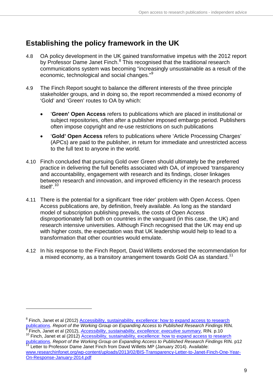### **Establishing the policy framework in the UK**

- 4.8 OA policy development in the UK gained transformative impetus with the 2012 report by Professor Dame Janet Finch.<sup>[8](#page-8-1)</sup> This recognised that the traditional research communications system was becoming "increasingly unsustainable as a result of the economic, technological and social changes."<sup>[9](#page-8-2)</sup>
- 4.9 The Finch Report sought to balance the different interests of the three principle stakeholder groups, and in doing so, the report recommended a mixed economy of 'Gold' and 'Green' routes to OA by which:
	- '**Green' Open Access** refers to publications which are placed in institutional or subject repositories, often after a publisher imposed embargo period. Publishers often impose copyright and re-use restrictions on such publications
	- '**Gold' Open Access** refers to publications where 'Article Processing Charges' (APCs) are paid to the publisher, in return for immediate and unrestricted access to the full text to anyone in the world.
- 4.10 Finch concluded that pursuing Gold over Green should ultimately be the preferred practice in delivering the full benefits associated with OA, of improved 'transparency and accountability, engagement with research and its findings, closer linkages between research and innovation, and improved efficiency in the research process itself'.[10](#page-8-3)
- 4.11 There is the potential for a significant 'free rider' problem with Open Access. Open Access publications are, by definition, freely available. As long as the standard model of subscription publishing prevails, the costs of Open Access disproportionately fall both on countries in the vanguard (in this case, the UK) and research intensive universities. Although Finch recognised that the UK may end up with higher costs, the expectation was that UK leadership would help to lead to a transformation that other countries would emulate.
- <span id="page-8-0"></span>4.12 In his response to the Finch Report, David Willetts endorsed the recommendation for a mixed economy, as a transitory arrangement towards Gold OA as standard.<sup>[11](#page-8-4)</sup>

<span id="page-8-3"></span><span id="page-8-2"></span><span id="page-8-1"></span> $\frac{9}{10}$  Finch, Janet et al (2012), *[Accessibility, sustainability, excellence: executive summary,](http://www.researchinfonet.org/wp-content/uploads/2012/06/Finch-Group-report-executive-summary-FINAL-VERSION.pdf)* RIN. p.10<br><sup>10</sup> Finch, Janet et al (2012) *[Accessibility, sustainability, excellence: how to expand access to research](http://www.researchinfonet.org/wp-content/uploads/2012/06/Finch-Group-report-FINAL-VERSION.pdf) p* 

Letter to Professor Dame Janet Finch from David Willetts MP (January 2014). Available: [www.researchinfonet.org/wp-content/uploads/2013/02/BIS-Transparency-Letter-to-Janet-Finch-One-Year-](http://www.researchinfonet.org/wp-content/uploads/2013/02/BIS-Transparency-Letter-to-Janet-Finch-One-Year-On-Response-January-2014.pdf)

<span id="page-8-4"></span>[On-Response-January-2014.pdf](http://www.researchinfonet.org/wp-content/uploads/2013/02/BIS-Transparency-Letter-to-Janet-Finch-One-Year-On-Response-January-2014.pdf) 

<sup>&</sup>lt;sup>8</sup> Finch, Janet et al (2012) **[Accessibility, sustainability, excellence: how to expand access to research](http://www.researchinfonet.org/wp-content/uploads/2012/06/Finch-Group-report-FINAL-VERSION.pdf) publications. Report of the Working Group on Expanding Access to Publications. Report of the Working Group on Expan**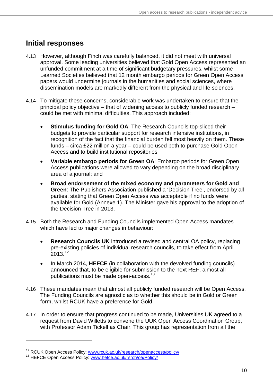### **Initial responses**

- 4.13 However, although Finch was carefully balanced, it did not meet with universal approval. Some leading universities believed that Gold Open Access represented an unfunded commitment at a time of significant budgetary pressures, whilst some Learned Societies believed that 12 month embargo periods for Green Open Access papers would undermine journals in the humanities and social sciences, where dissemination models are markedly different from the physical and life sciences.
- 4.14 To mitigate these concerns, considerable work was undertaken to ensure that the principal policy objective – that of widening access to publicly funded research – could be met with minimal difficulties. This approach included:
	- **Stimulus funding for Gold OA**: The Research Councils top-sliced their budgets to provide particular support for research intensive institutions, in recognition of the fact that the financial burden fell most heavily on them. These funds – circa £22 million a year – could be used both to purchase Gold Open Access and to build institutional repositories
	- **Variable embargo periods for Green OA**: Embargo periods for Green Open Access publications were allowed to vary depending on the broad disciplinary area of a journal; and
	- **Broad endorsement of the mixed economy and parameters for Gold and Green**: The Publishers Association published a 'Decision Tree', endorsed by all parties, stating that Green Open Access was acceptable if no funds were available for Gold (Annexe 1). The Minister gave his approval to the adoption of the Decision Tree in 2013.
- 4.15 Both the Research and Funding Councils implemented Open Access mandates which have led to major changes in behaviour:
	- **Research Councils UK** introduced a revised and central OA policy, replacing pre-existing policies of individual research councils, to take effect from April  $2013^{12}$  $2013^{12}$  $2013^{12}$
	- In March 2014, **HEFCE** (in collaboration with the devolved funding councils) announced that, to be eligible for submission to the next REF, almost all publications must be made open-access.<sup>[13](#page-9-1)</sup>
- 4.16 These mandates mean that almost all publicly funded research will be Open Access. The Funding Councils are agnostic as to whether this should be in Gold or Green form, whilst RCUK have a preference for Gold.
- 4.17 In order to ensure that progress continued to be made, Universities UK agreed to a request from David Willetts to convene the UUK Open Access Coordination Group, with Professor Adam Tickell as Chair. This group has representation from all the

<span id="page-9-0"></span><sup>&</sup>lt;sup>12</sup> RCUK Open Access Policy: [www.rcuk.ac.uk/research/openaccess/policy/](http://www.rcuk.ac.uk/research/openaccess/policy/)<br><sup>13</sup> HEFCE Open Access Policy: [www.hefce.ac.uk/rsrch/oa/Policy/](http://www.hefce.ac.uk/rsrch/oa/Policy/)

<span id="page-9-1"></span>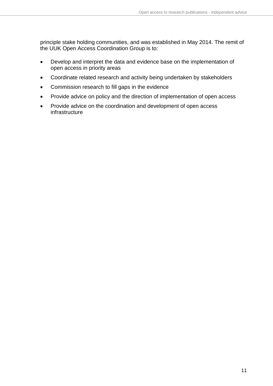principle stake holding communities, and was established in May 2014. The remit of the UUK Open Access Coordination Group is to:

- Develop and interpret the data and evidence base on the implementation of open access in priority areas
- Coordinate related research and activity being undertaken by stakeholders
- Commission research to fill gaps in the evidence
- Provide advice on policy and the direction of implementation of open access
- Provide advice on the coordination and development of open access infrastructure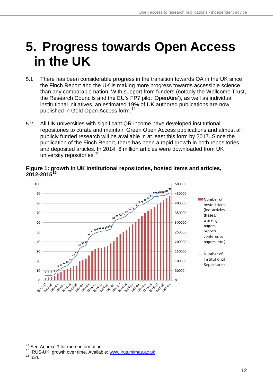## <span id="page-11-0"></span>**5. Progress towards Open Access in the UK**

- 5.1 There has been considerable progress in the transition towards OA in the UK since the Finch Report and the UK is making more progress towards accessible science than any comparable nation. With support from funders (notably the Wellcome Trust, the Research Councils and the EU's FP7 pilot 'OpenAire'), as well as individual institutional initiatives, an estimated 19% of UK authored publications are now published in Gold Open Access form.[14](#page-11-1)
- 5.2 All UK universities with significant QR income have developed institutional repositories to curate and maintain Green Open Access publications and almost all publicly funded research will be available in at least this form by 2017. Since the publication of the Finch Report, there has been a rapid growth in both repositories and deposited articles. In 2014, 6 million articles were downloaded from UK university repositories.<sup>15</sup>

**Figure 1: growth in UK institutional repositories, hosted items and articles, 2012-2015[16](#page-11-3)**



<span id="page-11-1"></span><sup>&</sup>lt;sup>14</sup> See Annexe 3 for more information.

<span id="page-11-3"></span><span id="page-11-2"></span><sup>&</sup>lt;sup>15</sup> IRUS-UK, growth over time. Available: **www.irus.mimas.ac.uk** <sup>16</sup> Ibid.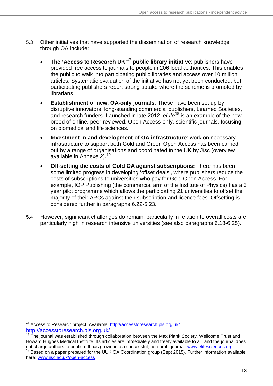- 5.3 Other initiatives that have supported the dissemination of research knowledge through OA include:
	- **The 'Access to Research UK' [17](#page-12-0) public library initiative**: publishers have provided free access to journals to people in 206 local authorities. This enables the public to walk into participating public libraries and access over 10 million articles. Systematic evaluation of the initiative has not yet been conducted, but participating publishers report strong uptake where the scheme is promoted by librarians
	- **Establishment of new, OA-only journals:** These have been set up by disruptive innovators, long-standing commercial publishers, Learned Societies, and research funders. Launched in late 2012, *eLife*[18](#page-12-1) is an example of the new breed of online, peer-reviewed, Open Access-only, scientific journals, focusing on biomedical and life sciences.
	- **Investment in and development of OA infrastructure**: work on necessary infrastructure to support both Gold and Green Open Access has been carried out by a range of organisations and coordinated in the UK by Jisc (overview available in Annexe 2).<sup>[19](#page-12-2)</sup>
	- **Off**-**setting the costs of Gold OA against subscriptions:** There has been some limited progress in developing 'offset deals', where publishers reduce the costs of subscriptions to universities who pay for Gold Open Access. For example, IOP Publishing (the commercial arm of the Institute of Physics) has a 3 year pilot programme which allows the participating 21 universities to offset the majority of their APCs against their subscription and licence fees. Offsetting is considered further in paragraphs 6.22-5.23.
- 5.4 However, significant challenges do remain, particularly in relation to overall costs are particularly high in research intensive universities (see also paragraphs 6.18-6.25).

<sup>17</sup> Access to Research project. Available:<http://accesstoresearch.pls.org.uk/> <http://accesstoresearch.pls.org.uk/>

<span id="page-12-1"></span><span id="page-12-0"></span>The journal was established through collaboration between the Max Plank Society, Wellcome Trust and Howard Hughes Medical Institute. Its articles are immediately and freely available to all, and the journal does not charge authors to publish. It has grown into a successful, non-profit journal. www.elifesciences.org  $19$  Based on a paper prepared for the UUK OA Coordination group (Sept 2015). Further information available

<span id="page-12-2"></span>here: [www.jisc.ac.uk/open-access](https://www.jisc.ac.uk/open-access)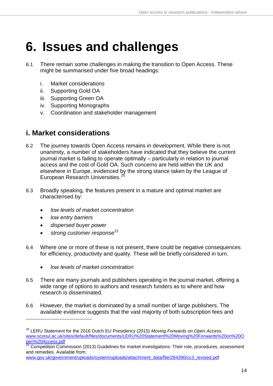### <span id="page-13-0"></span>**6. Issues and challenges**

- 6.1 There remain some challenges in making the transition to Open Access. These might be summarised under five broad headings:
	- i. Market considerations
	- ii. Supporting Gold OA
	- iii. Supporting Green OA
	- iv. Supporting Monographs
	- v. Coordination and stakeholder management

### <span id="page-13-1"></span>**i. Market considerations**

- 6.2 The journey towards Open Access remains in development. While there is not unanimity, a number of stakeholders have indicated that they believe the current journal market is failing to operate optimally – particularly in relation to journal access and the cost of Gold OA. Such concerns are held within the UK and elsewhere in Europe, evidenced by the strong stance taken by the League of European Research Universities.<sup>20</sup>
- 6.3 Broadly speaking, the features present in a mature and optimal market are characterised by:
	- *low levels of market concentration*
	- *low entry barriers*

- *dispersed buyer power*
- *strong customer response*[21](#page-13-3)
- 6.4 Where one or more of these is not present, there could be negative consequences for efficiency, productivity and quality. These will be briefly considered in turn.
	- *low levels of market concentration*
- 6.5 There are many journals and publishers operating in the journal market, offering a wide range of options to authors and research funders as to where and how research is disseminated.
- 6.6 However, the market is dominated by a small number of large publishers. The available evidence suggests that the vast majority of both subscription fees and

<span id="page-13-2"></span><sup>20</sup> LERU Statement for the 2016 Dutch EU Presidency (2015) *Moving Forwards on Open Access.* [www.sconul.ac.uk/sites/default/files/documents/LERU%20Statement%20Moving%20Forwards%20on%20O](http://www.sconul.ac.uk/sites/default/files/documents/LERU%20Statement%20Moving%20Forwards%20on%20Open%20Access.pdf)<br>pen%20Access.pdf

<span id="page-13-3"></span>Competition Commission (2013) Guidelines for market investigations: Their role, procedures, assessment and remedies. Available from:

[www.gov.uk/government/uploads/system/uploads/attachment\\_data/file/284390/cc3\\_revised.pdf](https://www.gov.uk/government/uploads/system/uploads/attachment_data/file/284390/cc3_revised.pdf)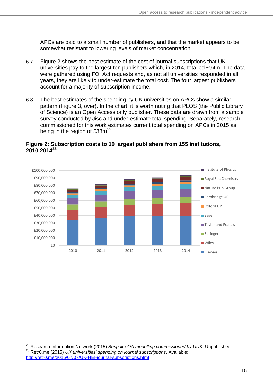APCs are paid to a small number of publishers, and that the market appears to be somewhat resistant to lowering levels of market concentration.

- 6.7 Figure 2 shows the best estimate of the cost of journal subscriptions that UK universities pay to the largest ten publishers which, in 2014, totalled £94m. The data were gathered using FOI Act requests and, as not all universities responded in all years, they are likely to under-estimate the total cost. The four largest publishers account for a majority of subscription income.
- 6.8 The best estimates of the spending by UK universities on APCs show a similar pattern (Figure 3, over). In the chart, it is worth noting that PLOS (the Public Library of Science) is an Open Access only publisher. These data are drawn from a sample survey conducted by Jisc and under-estimate total spending. Separately, research commissioned for this work estimates current total spending on APCs in 2015 as being in the region of  $£33m<sup>22</sup>$ .



#### **Figure 2: Subscription costs to 10 largest publishers from 155 institutions, 2010-2014[23](#page-14-1)**

<span id="page-14-1"></span><span id="page-14-0"></span><sup>&</sup>lt;sup>22</sup> Research Information Network (2015) *Bespoke OA modelling commissioned by UUK*. Unpublished.<br><sup>23</sup> Retr0.me (2015) *UK universities' spending on journal subscriptions*. Available: <http://retr0.me/2015/07/07/UK-HEI-journal-subscriptions.html>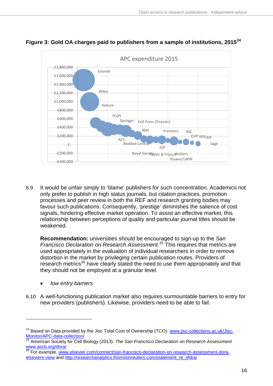

**Figure 3: Gold OA charges paid to publishers from a sample of institutions, 2015[24](#page-15-0)**

6.9 It would be unfair simply to 'blame' publishers for such concentration. Academics not only prefer to publish in high status journals, but citation practices, promotion processes and peer review in both the REF and research granting bodies may favour such publications. Consequently, 'prestige' diminishes the salience of cost signals, hindering effective market operation. To assist an effective market, this relationship between perceptions of quality and particular journal titles should be weakened.

**Recommendation:** universities should be encouraged to sign-up to the *San Francisco Declaration on Research Assessment.* [25](#page-15-1) This requires that metrics are used appropriately in the evaluation of individual researchers in order to remove distortion in the market by privileging certain publication routes. Providers of research metrics<sup>[26](#page-15-2)</sup> have clearly stated the need to use them appropriately and that they should not be employed at a granular level.

• *low entry barriers*

-

6.10 A well-functioning publication market also requires surmountable barriers to entry for new providers (publishers). Likewise, providers need to be able to fail.

<span id="page-15-0"></span><sup>&</sup>lt;sup>24</sup> Based on Data provided by the Jisc Total Cost of Ownership (TCO): [www.jisc-collections.ac.uk/Jisc-](https://www.jisc-collections.ac.uk/Jisc-Monitor/APC-data-collection/)[Monitor/APC-data-collection/ 25](https://www.jisc-collections.ac.uk/Jisc-Monitor/APC-data-collection/) American Society for Cell Biology (2013). *The San Francisco Declaration on Research Assessment*

<span id="page-15-1"></span>www.ascb.org/dora/<br><sup>26</sup> For example, [www.elsevier.com/connect/san-francisco-declaration-on-research-assessment-dora-](https://www.elsevier.com/connect/san-francisco-declaration-on-research-assessment-dora-elseviers-view)

<span id="page-15-2"></span>[elseviers-view](https://www.elsevier.com/connect/san-francisco-declaration-on-research-assessment-dora-elseviers-view) and http://researchanalytics.thomsonreuters.com/statement\_re\_sfdra/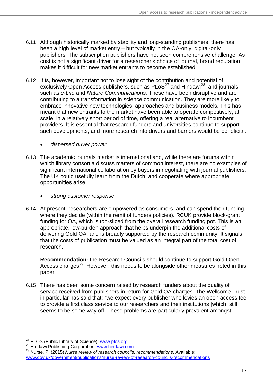- 6.11 Although historically marked by stability and long-standing publishers, there has been a high level of market entry – but typically in the OA-only, digital-only publishers. The subscription publishers have not seen comprehensive challenge. As cost is not a significant driver for a researcher's choice of journal, brand reputation makes it difficult for new market entrants to become established.
- 6.12 It is, however, important not to lose sight of the contribution and potential of exclusively Open Access publishers, such as  $P\text{LoS}^{27}$  $P\text{LoS}^{27}$  $P\text{LoS}^{27}$  and Hindawi<sup>[28](#page-16-1)</sup>, and journals, such as *e-Life* and *Nature Communications.* These have been disruptive and are contributing to a transformation in science communication. They are more likely to embrace innovative new technologies, approaches and business models. This has meant that new entrants to the market have been able to operate competitively, at scale, in a relatively short period of time, offering a real alternative to incumbent providers. It is essential that research funders and universities continue to support such developments, and more research into drivers and barriers would be beneficial.
	- *dispersed buyer power*
- 6.13 The academic journals market is international and, while there are forums within which library consortia discuss matters of common interest, there are no examples of significant international collaboration by buyers in negotiating with journal publishers. The UK could usefully learn from the Dutch, and cooperate where appropriate opportunities arise.
	- *strong customer response*
- 6.14 At present, researchers are empowered as consumers, and can spend their funding where they decide (within the remit of funders policies). RCUK provide block-grant funding for OA, which is top-sliced from the overall research funding pot. This is an appropriate, low-burden approach that helps underpin the additional costs of delivering Gold OA, and is broadly supported by the research community. It signals that the costs of publication must be valued as an integral part of the total cost of research.

**Recommendation:** the Research Councils should continue to support Gold Open Access charges<sup>29</sup>. However, this needs to be alongside other measures noted in this paper.

6.15 There has been some concern raised by research funders about the quality of service received from publishers in return for Gold OA charges. The Wellcome Trust in particular has said that: "we expect every publisher who levies an open access fee to provide a first class service to our researchers and their institutions [which] still seems to be some way off. These problems are particularly prevalent amongst

<span id="page-16-2"></span><span id="page-16-1"></span>

<span id="page-16-0"></span><sup>&</sup>lt;sup>27</sup> PLOS (Public Library of Science): www.plos.org<br><sup>28</sup> Hindawi Publishing Corporation: www.hindawi.com<br><sup>29</sup> Nurse, P. (2015) *Nurse review of research councils: recommendations*. Available:

[www.gov.uk/government/publications/nurse-review-of-research-councils-recommendations](https://www.gov.uk/government/publications/nurse-review-of-research-councils-recommendations)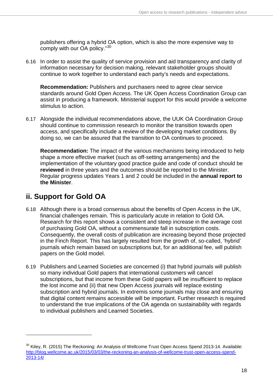publishers offering a hybrid OA option, which is also the more expensive way to comply with our OA policy."[30](#page-17-1)

6.16 In order to assist the quality of service provision and aid transparency and clarity of information necessary for decision making, relevant stakeholder groups should continue to work together to understand each party's needs and expectations.

**Recommendation:** Publishers and purchasers need to agree clear service standards around Gold Open Access. The UK Open Access Coordination Group can assist in producing a framework. Ministerial support for this would provide a welcome stimulus to action.

6.17 Alongside the individual recommendations above, the UUK OA Coordination Group should continue to commission research to monitor the transition towards open access, and specifically include a review of the developing market conditions. By doing so, we can be assured that the transition to OA continues to proceed.

**Recommendation:** The impact of the various mechanisms being introduced to help shape a more effective market (such as off-setting arrangements) and the implementation of the voluntary good practice guide and code of conduct should be **reviewed** in three years and the outcomes should be reported to the Minister. Regular progress updates Years 1 and 2 could be included in the **annual report to the Minister**.

### <span id="page-17-0"></span>**ii. Support for Gold OA**

- 6.18 Although there is a broad consensus about the benefits of Open Access in the UK, financial challenges remain. This is particularly acute in relation to Gold OA. Research for this report shows a consistent and steep increase in the average cost of purchasing Gold OA, without a commensurate fall in subscription costs. Consequently, the overall costs of publication are increasing beyond those projected in the Finch Report. This has largely resulted from the growth of, so-called, 'hybrid' journals which remain based on subscriptions but, for an additional fee, will publish papers on the Gold model.
- 6.19 Publishers and Learned Societies are concerned (i) that hybrid journals will publish so many individual Gold papers that international customers will cancel subscriptions, but that income from these Gold papers will be insufficient to replace the lost income and (ii) that new Open Access journals will replace existing subscription and hybrid journals. In extremis some journals may close and ensuring that digital content remains accessible will be important. Further research is required to understand the true implications of the OA agenda on sustainability with regards to individual publishers and Learned Societies.

<span id="page-17-1"></span><sup>&</sup>lt;sup>30</sup> Kiley, R. (2015) The Reckoning: An Analysis of Wellcome Trust Open Access Spend 2013-14. Available: [http://blog.wellcome.ac.uk/2015/03/03/the-reckoning-an-analysis-of-wellcome-trust-open-access-spend-](http://blog.wellcome.ac.uk/2015/03/03/the-reckoning-an-analysis-of-wellcome-trust-open-access-spend-2013-14/)[2013-14/](http://blog.wellcome.ac.uk/2015/03/03/the-reckoning-an-analysis-of-wellcome-trust-open-access-spend-2013-14/)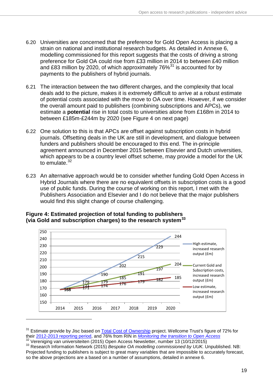- 6.20 Universities are concerned that the preference for Gold Open Access is placing a strain on national and institutional research budgets. As detailed in Annexe 6, modelling commissioned for this report suggests that the costs of driving a strong preference for Gold OA could rise from £33 million in 2014 to between £40 million and £83 million by 2020, of which approximately 76%<sup>[31](#page-18-0)</sup> is accounted for by payments to the publishers of hybrid journals.
- 6.21 The interaction between the two different charges, and the complexity that local deals add to the picture, makes it is extremely difficult to arrive at a robust estimate of potential costs associated with the move to OA over time. However, if we consider the overall amount paid to publishers (combining subscriptions and APCs), we estimate a **potential** rise in total costs to universities alone from £168m in 2014 to between £185m-£244m by 2020 (see Figure 4 on next page)
- 6.22 One solution to this is that APCs are offset against subscription costs in hybrid journals. Offsetting deals in the UK are still in development, and dialogue between funders and publishers should be encouraged to this end. The in-principle agreement announced in December 2015 between Elsevier and Dutch universities, which appears to be a country level offset scheme, may provide a model for the UK to emulate. $32$
- 6.23 An alternative approach would be to consider whether funding Gold Open Access in Hybrid Journals where there are no equivalent offsets in subscription costs is a good use of public funds. During the course of working on this report, I met with the Publishers Association and Elsevier and I do not believe that the major publishers would find this slight change of course challenging.



#### **Figure 4: Estimated projection of total funding to publishers (via Gold and subscription charges) to the research system[33](#page-18-2)**

<span id="page-18-0"></span> $31$  Estimate provide by Jisc based on **Total Cost of Ownership** project. Wellcome Trust's figure of 72% for their  $2012$ - $2013$  reporting period, and 76% from RIN in *Monitoring the transition to Open Access* 

<span id="page-18-2"></span><span id="page-18-1"></span><sup>&</sup>lt;sup>32</sup> Vereniging van universiteiten (2015) Open Access Newsletter, number 13 (10/12/2015)<br><sup>33</sup> Research Information Network (2015) *Bespoke OA modelling commissioned by UUK*. Unpublished. NB: Projected funding to publishers is subject to great many variables that are impossible to accurately forecast, so the above projections are a based on a number of assumptions, detailed in annexe 6.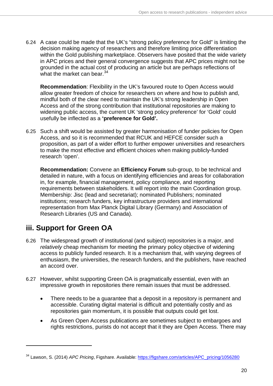6.24 A case could be made that the UK's "strong policy preference for Gold" is limiting the decision making agency of researchers and therefore limiting price differentiation within the Gold publishing marketplace. Observers have posited that the wide variety in APC prices and their general convergence suggests that APC prices might not be grounded in the actual cost of producing an article but are perhaps reflections of what the market can bear.<sup>[34](#page-19-1)</sup>

**Recommendation**: Flexibility in the UK's favoured route to Open Access would allow greater freedom of choice for researchers on where and how to publish and, mindful both of the clear need to maintain the UK's strong leadership in Open Access and of the strong contribution that institutional repositories are making to widening public access, the current UK 'strong policy preference' for 'Gold' could usefully be inflected as a **'preference for Gold'.**

6.25 Such a shift would be assisted by greater harmonisation of funder policies for Open Access, and so it is recommended that RCUK and HEFCE consider such a proposition, as part of a wider effort to further empower universities and researchers to make the most effective and efficient choices when making publicly-funded research 'open'.

**Recommendation:** Convene an **Efficiency Forum** sub-group, to be technical and detailed in nature, with a focus on identifying efficiencies and areas for collaboration in, for example, financial management, policy compliance, and reporting requirements between stakeholders. It will report into the main Coordination group. Membership: Jisc (lead and secretariat); nominated Publishers; nominated institutions; research funders, key infrastructure providers and international representation from Max Planck Digital Library (Germany) and Association of Research Libraries (US and Canada).

### <span id="page-19-0"></span>**iii. Support for Green OA**

- 6.26 The widespread growth of institutional (and subject) repositories is a major, and *relatively* cheap mechanism for meeting the primary policy objective of widening access to publicly funded research. It is a mechanism that, with varying degrees of enthusiasm, the universities, the research funders, and the publishers, have reached an accord over.
- 6.27 However, whilst supporting Green OA is pragmatically essential, even with an impressive growth in repositories there remain issues that must be addressed.
	- There needs to be a guarantee that a deposit in a repository is permanent and accessible. Curating digital material is difficult and potentially costly and as repositories gain momentum, it is possible that outputs could get lost.
	- As Green Open Access publications are sometimes subject to embargoes and rights restrictions, purists do not accept that it they are Open Access. There may

<span id="page-19-1"></span><sup>34</sup> Lawson, S. (2014) *APC Pricing*, Figshare. Available: [https://figshare.com/articles/APC\\_pricing/1056280](https://figshare.com/articles/APC_pricing/1056280)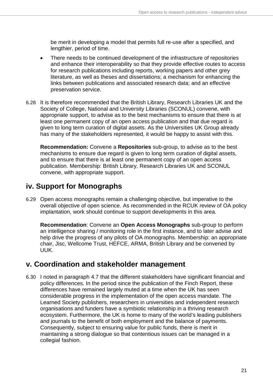be merit in developing a model that permits full re-use after a specified, and lengthier, period of time.

- There needs to be continued development of the infrastructure of repositories and enhance their interoperability so that they provide effective routes to access for research publications including reports, working papers and other grey literature, as well as theses and dissertations; a mechanism for enhancing the links between publications and associated research data; and an effective preservation service.
- 6.28 It is therefore recommended that the British Library, Research Libraries UK and the Society of College, National and University Libraries (SCONUL) convene, with appropriate support, to advise as to the best mechanisms to ensure that there is at least one permanent copy of an open access publication and that due regard is given to long term curation of digital assets. As the Universities UK Group already has many of the stakeholders represented, it would be happy to assist with this.

**Recommendation:** Convene a **Repositories** sub-group, to advise as to the best mechanisms to ensure due regard is given to long term curation of digital assets, and to ensure that there is at least one permanent copy of an open access publication. Membership: British Library, Research Libraries UK and SCONUL convene, with appropriate support.

### <span id="page-20-0"></span>**iv. Support for Monographs**

6.29 Open access monographs remain a challenging objective, but imperative to the overall objective of open science. As recommended in the RCUK review of OA policy implantation, work should continue to support developments in this area.

**Recommendation**: Convene an **Open Access Monographs** sub-group to perform an intelligence sharing / monitoring role in the first instance, and to later advise and help drive the progress of any pilots of OA monographs. Membership: an appropriate chair, Jisc, Wellcome Trust, HEFCE, ARMA, British Library and be convened by UUK.

### <span id="page-20-1"></span>**v. Coordination and stakeholder management**

6.30 I noted in paragraph 4.7 that the different stakeholders have significant financial and policy differences. In the period since the publication of the Finch Report, these differences have remained largely muted at a time when the UK has seen considerable progress in the implementation of the open access mandate. The Learned Society publishers, researchers in universities and independent research organisations and funders have a symbiotic relationship in a thriving research ecosystem. Furthermore, the UK is home to many of the world's leading publishers and journals to the benefit of both employment and the balance of payments. Consequently, subject to ensuring value for public funds, there is merit in maintaining a strong dialogue so that contentious issues can be managed in a collegial fashion.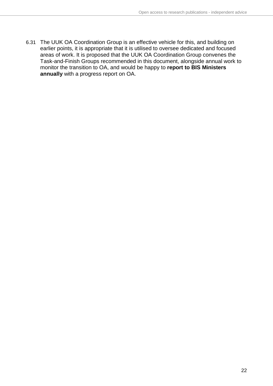<span id="page-21-0"></span>6.31 The UUK OA Coordination Group is an effective vehicle for this, and building on earlier points, it is appropriate that it is utilised to oversee dedicated and focused areas of work. It is proposed that the UUK OA Coordination Group convenes the Task-and-Finish Groups recommended in this document, alongside annual work to monitor the transition to OA, and would be happy to **report to BIS Ministers annually** with a progress report on OA.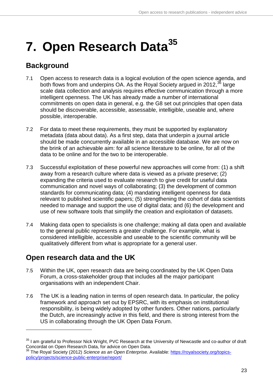## **7. Open Research Data[35](#page-22-2)**

### <span id="page-22-0"></span>**Background**

- 7.1 Open access to research data is a logical evolution of the open science agenda, and both flows from and underpins OA. As the Royal Society argued in 2012,<sup>[36](#page-22-3)</sup> large scale data collection and analysis requires effective communication through a more intelligent openness. The UK has already made a number of international commitments on open data in general, e.g. the G8 set out principles that open data should be discoverable, accessible, assessable, intelligible, useable and, where possible, interoperable.
- 7.2 For data to meet these requirements, they must be supported by explanatory metadata (data about data). As a first step, data that underpin a journal article should be made concurrently available in an accessible database. We are now on the brink of an achievable aim: for all science literature to be online, for all of the data to be online and for the two to be interoperable.
- 7.3 Successful exploitation of these powerful new approaches will come from: (1) a shift away from a research culture where data is viewed as a private preserve; (2) expanding the criteria used to evaluate research to give credit for useful data communication and novel ways of collaborating; (3) the development of common standards for communicating data; (4) mandating intelligent openness for data relevant to published scientific papers; (5) strengthening the cohort of data scientists needed to manage and support the use of digital data; and (6) the development and use of new software tools that simplify the creation and exploitation of datasets.
- 7.4 Making data open to specialists is one challenge; making all data open and available to the general public represents a greater challenge. For example, what is considered intelligible, accessible and useable to the scientific community will be qualitatively different from what is appropriate for a general user.

### <span id="page-22-1"></span>**Open research data and the UK**

- 7.5 Within the UK, open research data are being coordinated by the UK Open Data Forum, a cross-stakeholder group that includes all the major participant organisations with an independent Chair.
- 7.6 The UK is a leading nation in terms of open research data. In particular, the policy framework and approach set out by EPSRC, with its emphasis on institutional responsibility, is being widely adopted by other funders. Other nations, particularly the Dutch, are increasingly active in this field, and there is strong interest from the US in collaborating through the UK Open Data Forum.

<span id="page-22-2"></span><sup>&</sup>lt;sup>35</sup> I am grateful to Professor Nick Wright, PVC Research at the University of Newcastle and co-author of draft Concordat on Open Research Data, for advice on Open Data.

<span id="page-22-3"></span><sup>36</sup> The Royal Society (2012) *Science as an Open Enterprise.* Available: [https://royalsociety.org/topics](https://royalsociety.org/topics-policy/projects/science-public-enterprise/report/)[policy/projects/science-public-enterprise/report/](https://royalsociety.org/topics-policy/projects/science-public-enterprise/report/)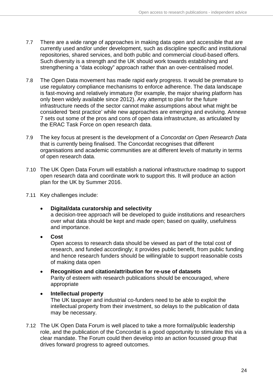- 7.7 There are a wide range of approaches in making data open and accessible that are currently used and/or under development, such as discipline specific and institutional repositories, shared services, and both public and commercial cloud-based offers. Such diversity is a strength and the UK should work towards establishing and strengthening a "data ecology" approach rather than an over-centralised model.
- 7.8 The Open Data movement has made rapid early progress. It would be premature to use regulatory compliance mechanisms to enforce adherence. The data landscape is fast-moving and relatively immature (for example, the major sharing platform has only been widely available since 2012). Any attempt to plan for the future infrastructure needs of the sector cannot make assumptions about what might be considered 'best practice' while new approaches are emerging and evolving. Annexe 7 sets out some of the pros and cons of open data infrastructure, as articulated by the ERAC Task Force on open research data.
- 7.9 The key focus at present is the development of a *Concordat on Open Research Data* that is currently being finalised. The Concordat recognises that different organisations and academic communities are at different levels of maturity in terms of open research data.
- 7.10 The UK Open Data Forum will establish a national infrastructure roadmap to support open research data and coordinate work to support this. It will produce an action plan for the UK by Summer 2016.
- 7.11 Key challenges include:
	- **Digital/data curatorship and selectivity** a decision-tree approach will be developed to guide institutions and researchers over what data should be kept and made open; based on quality, usefulness and importance.
	- **Cost**

Open access to research data should be viewed as part of the total cost of research, and funded accordingly; it provides public benefit, from public funding and hence research funders should be willing/able to support reasonable costs of making data open

- **Recognition and citation/attribution for re-use of datasets** Parity of esteem with research publications should be encouraged, where appropriate
- <span id="page-23-0"></span>• **Intellectual property** The UK taxpayer and industrial co-funders need to be able to exploit the intellectual property from their investment, so delays to the publication of data may be necessary.
- 7.12 The UK Open Data Forum is well placed to take a more formal/public leadership role, and the publication of the Concordat is a good opportunity to stimulate this via a clear mandate. The Forum could then develop into an action focussed group that drives forward progress to agreed outcomes.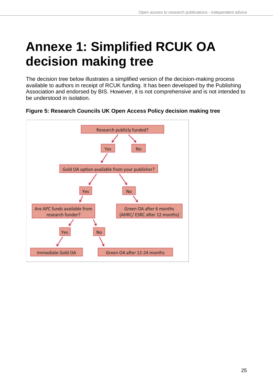## **Annexe 1: Simplified RCUK OA decision making tree**

The decision tree below illustrates a simplified version of the decision-making process available to authors in receipt of RCUK funding. It has been developed by the Publishing Association and endorsed by BIS. However, it is not comprehensive and is not intended to be understood in isolation.



#### **Figure 5: Research Councils UK Open Access Policy decision making tree**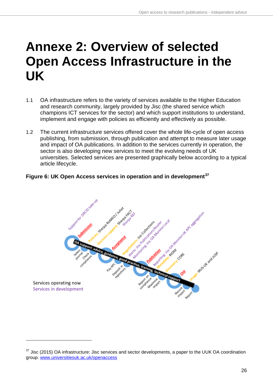## <span id="page-25-0"></span>**Annexe 2: Overview of selected Open Access Infrastructure in the UK**

- 1.1 OA infrastructure refers to the variety of services available to the Higher Education and research community, largely provided by Jisc (the shared service which champions ICT services for the sector) and which support institutions to understand, implement and engage with policies as efficiently and effectively as possible.
- 1.2 The current infrastructure services offered cover the whole life-cycle of open access publishing, from submission, through publication and attempt to measure later usage and impact of OA publications. In addition to the services currently in operation, the sector is also developing new services to meet the evolving needs of UK universities. Selected services are presented graphically below according to a typical article lifecycle.

### **Figure 6: UK Open Access services in operation and in development[37](#page-25-1)**



<span id="page-25-1"></span> $37$  Jisc (2015) OA infrastructure: Jisc services and sector developments, a paper to the UUK OA coordination group. [www.universitiesuk.ac.uk/openaccess](http://www.universitiesuk.ac.uk/openaccess)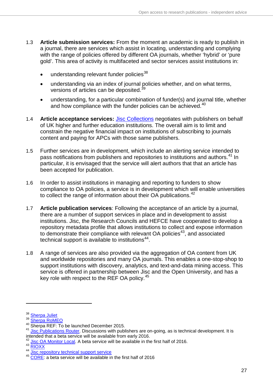- 1.3 **Article submission services:** From the moment an academic is ready to publish in a journal, there are services which assist in locating, understanding and complying with the range of policies offered by different OA journals, whether 'hybrid' or 'pure gold'. This area of activity is multifaceted and sector services assist institutions in:
	- $\bullet$  understanding relevant funder policies<sup>[38](#page-26-0)</sup>
	- understanding via an index of journal policies whether, and on what terms, versions of articles can be deposited.<sup>[39](#page-26-1)</sup>
	- understanding, for a particular combination of funder(s) and journal title, whether and how compliance with the funder policies can be achieved.<sup>[40](#page-26-2)</sup>
- 1.4 **Article acceptance services:** [Jisc Collections](https://www.jisc-collections.ac.uk/) negotiates with publishers on behalf of UK higher and further education institutions. The overall aim is to limit and constrain the negative financial impact on institutions of subscribing to journals content and paying for APCs with those same publishers.
- 1.5 Further services are in development, which include an alerting service intended to pass notifications from publishers and repositories to institutions and authors.<sup>[41](#page-26-3)</sup> In particular, it is envisaged that the service will alert authors that that an article has been accepted for publication.
- 1.6 In order to assist institutions in managing and reporting to funders to show compliance to OA policies, a service is in development which will enable universities to collect the range of information about their OA publications.<sup>[42](#page-26-4)</sup>
- 1.7 **Article publication services**: Following the acceptance of an article by a journal, there are a number of support services in place and in development to assist institutions. Jisc, the Research Councils and HEFCE have cooperated to develop a repository metadata profile that allows institutions to collect and expose information to demonstrate their compliance with relevant  $OA$  policies<sup>43</sup>, and associated technical support is available to institutions $44$ .
- 1.8 A range of services are also provided via the aggregation of OA content from UK and worldwide repositories and many OA journals. This enables a one-stop-shop to support institutions with discovery, analytics, and text-and-data mining access. This service is offered in partnership between Jisc and the Open University, and has a key role with respect to the REF OA policy.<sup>[45](#page-26-7)</sup>

<span id="page-26-0"></span><sup>&</sup>lt;sup>38</sup> [Sherpa Juliet](http://www.sherpa.ac.uk/juliet/index.php?la=en)<br><sup>39</sup> Sherpa RoMEO

<span id="page-26-3"></span><span id="page-26-2"></span><span id="page-26-1"></span><sup>&</sup>lt;sup>40</sup> Sherpa REF: To be launched December 2015.<br><sup>41</sup> <u>Jisc Publications Router</u>. Discussions with publishers are on-going, as is technical development. It is intended that a beta service will be available from early 2016.

<sup>&</sup>lt;sup>42</sup> [Jisc OA Monitor Local.](http://jiscmonitor.jiscinvolve.org/wp/) A beta service will be available in the first half of 2016.

<span id="page-26-5"></span><span id="page-26-4"></span><sup>43</sup> [RIOXX](http://rioxx.net/)<br>44 <u>Jisc repository technical support service</u>

<span id="page-26-7"></span><span id="page-26-6"></span><sup>&</sup>lt;sup>45</sup> [CORE:](http://core.ac.uk/) a beta service will be available in the first half of 2016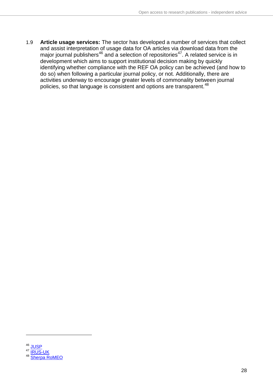1.9 **Article usage services:** The sector has developed a number of services that collect and assist interpretation of usage data for OA articles via download data from the major journal publishers<sup>[46](#page-27-0)</sup> and a selection of repositories<sup>47</sup>. A related service is in development which aims to support institutional decision making by quickly identifying whether compliance with the REF OA policy can be achieved (and how to do so) when following a particular journal policy, or not. Additionally, there are activities underway to encourage greater levels of commonality between journal policies, so that language is consistent and options are transparent.<sup>[48](#page-27-2)</sup>

<span id="page-27-2"></span><span id="page-27-1"></span><span id="page-27-0"></span> $\frac{46}{47}$  [JUSP](http://jusp.mimas.ac.uk/) **[IRUS-UK](http://www.irus.mimas.ac.uk/)** <sup>48</sup> [Sherpa RoMEO](http://www.sherpa.ac.uk/romeo/)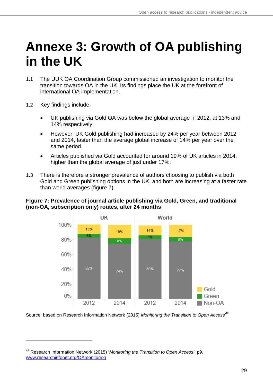## <span id="page-28-0"></span>**Annexe 3: Growth of OA publishing in the UK**

- 1.1 The UUK OA Coordination Group commissioned an investigation to monitor the transition towards OA in the UK. Its findings place the UK at the forefront of international OA implementation.
- 1.2 Key findings include:

-

- UK publishing via Gold OA was below the global average in 2012, at 13% and 14% respectively.
- However, UK Gold publishing had increased by 24% per year between 2012 and 2014, faster than the average global increase of 14% per year over the same period.
- Articles published via Gold accounted for around 19% of UK articles in 2014, higher than the global average of just under 17%.
- 1.3 There is therefore a stronger prevalence of authors choosing to publish via both Gold and Green publishing options in the UK, and both are increasing at a faster rate than world averages (figure 7).

#### **Figure 7: Prevalence of journal article publishing via Gold, Green, and traditional (non-OA, subscription only) routes, after 24 months**



Source: based on Research Information Network (2015) *Monitoring the Transition to Open Access[49](#page-28-1)*

<span id="page-28-1"></span><sup>49</sup> Research Information Network (2015) '*Monitoring the Transition to Open Access'*, p9. [www.researchinfonet.org/OAmonitoring](http://www.researchinfonet.org/OAmonitoring)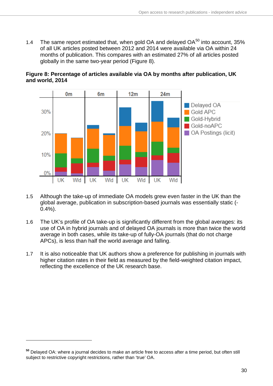1.4 The same report estimated that, when gold OA and delayed  $OA^{50}$  $OA^{50}$  $OA^{50}$  into account, 35% of all UK articles posted between 2012 and 2014 were available via OA within 24 months of publication. This compares with an estimated 27% of all articles posted globally in the same two-year period (Figure 8).



**Figure 8: Percentage of articles available via OA by months after publication, UK and world, 2014**

- 1.5 Although the take-up of immediate OA models grew even faster in the UK than the global average, publication in subscription-based journals was essentially static (- 0.4%).
- 1.6 The UK's profile of OA take-up is significantly different from the global averages: its use of OA in hybrid journals and of delayed OA journals is more than twice the world average in both cases, while its take-up of fully-OA journals (that do not charge APCs), is less than half the world average and falling.
- 1.7 It is also noticeable that UK authors show a preference for publishing in journals with higher citation rates in their field as measured by the field-weighted citation impact, reflecting the excellence of the UK research base.

<span id="page-29-0"></span>**<sup>50</sup>** Delayed OA: where a journal decides to make an article free to access after a time period, but often still subject to restrictive copyright restrictions, rather than 'true' OA.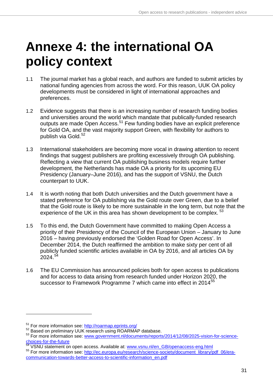## <span id="page-30-0"></span>**Annexe 4: the international OA policy context**

- 1.1 The journal market has a global reach, and authors are funded to submit articles by national funding agencies from across the word. For this reason, UUK OA policy developments must be considered in light of international approaches and preferences.
- 1.2 Evidence suggests that there is an increasing number of research funding bodies and universities around the world which mandate that publically-funded research outputs are made Open Access.[51](#page-30-1) Few funding bodies have an explicit preference for Gold OA, and the vast majority support Green, with flexibility for authors to publish via Gold.<sup>[52](#page-30-2)</sup>
- 1.3 International stakeholders are becoming more vocal in drawing attention to recent findings that suggest publishers are profiting excessively through OA publishing. Reflecting a view that current OA publishing business models require further development, the Netherlands has made OA a priority for its upcoming EU Presidency (January–June 2016), and has the support of VSNU, the Dutch counterpart to UUK.
- 1.4 It is worth noting that both Dutch universities and the Dutch government have a stated preference for OA publishing via the Gold route over Green, due to a belief that the Gold route is likely to be more sustainable in the long term, but note that the experience of the UK in this area has shown development to be complex.<sup>53</sup>
- 1.5 To this end, the Dutch Government have committed to making Open Access a priority of their Presidency of the Council of the European Union – January to June 2016 – having previously endorsed the 'Golden Road for Open Access'. In December 2014, the Dutch reaffirmed the ambition to make sixty per cent of all publicly funded scientific articles available in OA by 2016, and all articles OA by  $2024.<sup>54</sup>$  $2024.<sup>54</sup>$  $2024.<sup>54</sup>$
- 1.6 The EU Commission has announced policies both for open access to publications and for access to data arising from research funded under Horizon 2020, the successor to Framework Programme 7 which came into effect in 2014<sup>[55](#page-30-5)</sup>

<span id="page-30-3"></span><span id="page-30-2"></span>

<span id="page-30-1"></span><sup>&</sup>lt;sup>51</sup> For more information see: http://roarmap.eprints.org/<br><sup>52</sup> Based on preliminary UUK research using ROARMAP database.<br><sup>53</sup> For more information see: www.government.nl/documents/reports/2014/12/08/2025-vision-for-scien choices-for-the-future<br>
54 VSNU statement on open access. Available at: [www.vsnu.nl/en\\_GB/openaccess-eng.html](http://www.vsnu.nl/en_GB/openaccess-eng.html)<br>
55 For more information see: [http://ec.europa.eu/research/science-society/document\\_library/pdf\\_06/era-](http://ec.europa.eu/research/science-society/document_library/pdf_06/era-communication-towards-better-access-to-scientific-information_en.pdf)

<span id="page-30-4"></span>

<span id="page-30-5"></span>[communication-towards-better-access-to-scientific-information\\_en.pdf](http://ec.europa.eu/research/science-society/document_library/pdf_06/era-communication-towards-better-access-to-scientific-information_en.pdf)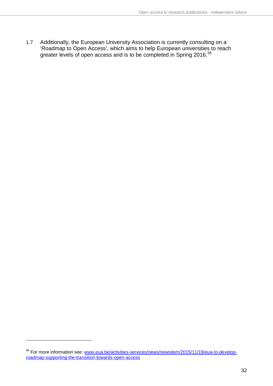1.7 Additionally, the European University Association is currently consulting on a 'Roadmap to Open Access', which aims to help European universities to reach greater levels of open access and is to be completed in Spring 2016. $^{56}$  $^{56}$  $^{56}$ 

<span id="page-31-0"></span><sup>56</sup> For more information see: [www.eua.be/activities-services/news/newsitem/2015/11/19/eua-to-develop](http://www.eua.be/activities-services/news/newsitem/2015/11/19/eua-to-develop-roadmap-supporting-the-transition-towards-open-access)[roadmap-supporting-the-transition-towards-open-access](http://www.eua.be/activities-services/news/newsitem/2015/11/19/eua-to-develop-roadmap-supporting-the-transition-towards-open-access)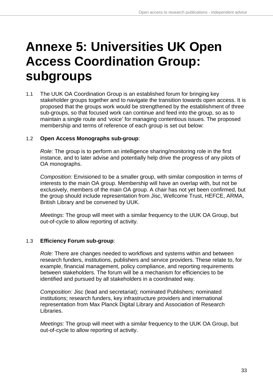## <span id="page-32-0"></span>**Annexe 5: Universities UK Open Access Coordination Group: subgroups**

1.1 The UUK OA Coordination Group is an established forum for bringing key stakeholder groups together and to navigate the transition towards open access. It is proposed that the groups work would be strengthened by the establishment of three sub-groups, so that focused work can continue and feed into the group, so as to maintain a single route and 'voice' for managing contentious issues. The proposed membership and terms of reference of each group is set out below:

#### 1.2 **Open Access Monographs sub-group**:

*Role:* The group is to perform an intelligence sharing/monitoring role in the first instance, and to later advise and potentially help drive the progress of any pilots of OA monographs.

*Composition:* Envisioned to be a smaller group, with similar composition in terms of interests to the main OA group. Membership will have an overlap with, but not be exclusively, members of the main OA group. A chair has not yet been confirmed, but the group should include representation from Jisc, Wellcome Trust, HEFCE, ARMA, British Library and be convened by UUK.

*Meetings:* The group will meet with a similar frequency to the UUK OA Group, but out-of-cycle to allow reporting of activity.

#### 1.3 **Efficiency Forum sub-group**:

*Role:* There are changes needed to workflows and systems within and between research funders, institutions, publishers and service providers. These relate to, for example, financial management, policy compliance, and reporting requirements between stakeholders. The forum will be a mechanism for efficiencies to be identified and pursued by all stakeholders in a coordinated way.

*Composition:* Jisc (lead and secretariat); nominated Publishers; nominated institutions; research funders, key infrastructure providers and international representation from Max Planck Digital Library and Association of Research Libraries.

*Meetings:* The group will meet with a similar frequency to the UUK OA Group, but out-of-cycle to allow reporting of activity.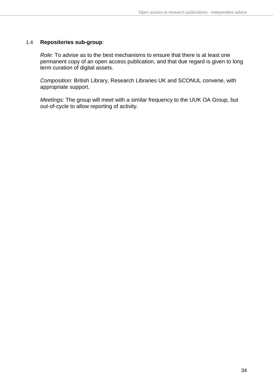#### 1.4 **Repositories sub-group**:

*Role:* To advise as to the best mechanisms to ensure that there is at least one permanent copy of an open access publication, and that due regard is given to long term curation of digital assets.

*Composition:* British Library, Research Libraries UK and SCONUL convene, with appropriate support.

*Meetings:* The group will meet with a similar frequency to the UUK OA Group, but out-of-cycle to allow reporting of activity.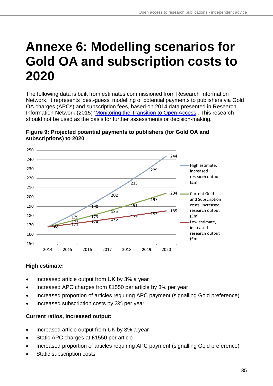## <span id="page-34-0"></span>**Annexe 6: Modelling scenarios for Gold OA and subscription costs to 2020**

The following data is built from estimates commissioned from Research Information Network. It represents 'best-guess' modelling of potential payments to publishers via Gold OA charges (APCs) and subscription fees, based on 2014 data presented in Research Information Network (2015) ['Monitoring the Transition to Open Access'](http://www.researchinfonet.org/OAmonitoring). This research should not be used as the basis for further assessments or decision-making.



#### **Figure 9: Projected potential payments to publishers (for Gold OA and subscriptions) to 2020**

### **High estimate:**

- Increased article output from UK by 3% a year
- Increased APC charges from £1550 per article by 3% per year
- Increased proportion of articles requiring APC payment (signalling Gold preference)
- Increased subscription costs by 3% per year

#### **Current ratios, increased output:**

- Increased article output from UK by 3% a year
- Static APC charges at £1550 per article
- Increased proportion of articles requiring APC payment (signalling Gold preference)
- Static subscription costs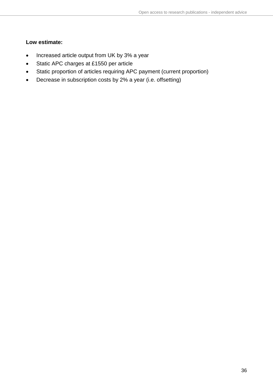#### **Low estimate:**

- Increased article output from UK by 3% a year
- Static APC charges at £1550 per article
- Static proportion of articles requiring APC payment (current proportion)
- Decrease in subscription costs by 2% a year (i.e. offsetting)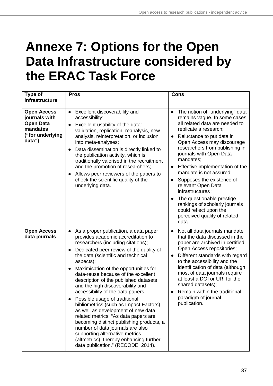## <span id="page-36-0"></span>**Annexe 7: Options for the Open Data Infrastructure considered by the ERAC Task Force**

| Type of                                                                                           | <b>Pros</b>                                                                                                                                                                                                                                                                                                                                                                                                                                                                                                                                                                                                                                                                                                                                                                                                           | <b>Cons</b>                                                                                                                                                                                                                                                                                                                                                                                                                                                                                                                                                                                 |
|---------------------------------------------------------------------------------------------------|-----------------------------------------------------------------------------------------------------------------------------------------------------------------------------------------------------------------------------------------------------------------------------------------------------------------------------------------------------------------------------------------------------------------------------------------------------------------------------------------------------------------------------------------------------------------------------------------------------------------------------------------------------------------------------------------------------------------------------------------------------------------------------------------------------------------------|---------------------------------------------------------------------------------------------------------------------------------------------------------------------------------------------------------------------------------------------------------------------------------------------------------------------------------------------------------------------------------------------------------------------------------------------------------------------------------------------------------------------------------------------------------------------------------------------|
| infrastructure                                                                                    |                                                                                                                                                                                                                                                                                                                                                                                                                                                                                                                                                                                                                                                                                                                                                                                                                       |                                                                                                                                                                                                                                                                                                                                                                                                                                                                                                                                                                                             |
| <b>Open Access</b><br>journals with<br><b>Open Data</b><br>mandates<br>("for underlying<br>data") | Excellent discoverability and<br>$\bullet$<br>accessibility;<br>Excellent usability of the data:<br>$\bullet$<br>validation, replication, reanalysis, new<br>analysis, reinterpretation, or inclusion<br>into meta-analyses;<br>Data dissemination is directly linked to<br>$\bullet$<br>the publication activity, which is<br>traditionally valorised in the recruitment<br>and the promotion of researchers;<br>Allows peer reviewers of the papers to<br>$\bullet$<br>check the scientific quality of the<br>underlying data.                                                                                                                                                                                                                                                                                      | The notion of "underlying" data<br>$\bullet$<br>remains vague. In some cases<br>all related data are needed to<br>replicate a research;<br>Reluctance to put data in<br>$\bullet$<br>Open Access may discourage<br>researchers from publishing in<br>journals with Open Data<br>mandates;<br>Effective implementation of the<br>$\bullet$<br>mandate is not assured;<br>Supposes the existence of<br>$\bullet$<br>relevant Open Data<br>infrastructures ;<br>The questionable prestige<br>rankings of scholarly journals<br>could reflect upon the<br>perceived quality of related<br>data. |
| <b>Open Access</b><br>data journals                                                               | As a proper publication, a data paper<br>$\bullet$<br>provides academic accreditation to<br>researchers (including citations);<br>Dedicated peer review of the quality of<br>$\bullet$<br>the data (scientific and technical<br>aspects);<br>Maximisation of the opportunities for<br>$\bullet$<br>data-reuse because of the excellent<br>description of the published datasets<br>and the high discoverability and<br>accessibility of the data papers;<br>Possible usage of traditional<br>bibliometrics (such as Impact Factors),<br>as well as development of new data<br>related metrics: "As data papers are<br>becoming distinct publishing products, a<br>number of data journals are also<br>supporting alternative metrics<br>(altmetrics), thereby enhancing further<br>data publication." (RECODE, 2014). | Not all data journals mandate<br>$\bullet$<br>that the data discussed in the<br>paper are archived in certified<br>Open Access repositories;<br>Different standards with regard<br>$\bullet$<br>to the accessibility and the<br>identification of data (although<br>most of data journals require<br>at least a DOI or URI for the<br>shared datasets);<br>Remain within the traditional<br>paradigm of journal<br>publication.                                                                                                                                                             |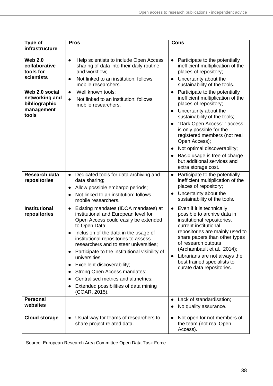| Type of<br>infrastructure                                                    | <b>Pros</b>                                                                                                                                                                                                                                                                                                                                                                                                                                                                                                                               | <b>Cons</b>                                                                                                                                                                                                                                                                                                                                                        |
|------------------------------------------------------------------------------|-------------------------------------------------------------------------------------------------------------------------------------------------------------------------------------------------------------------------------------------------------------------------------------------------------------------------------------------------------------------------------------------------------------------------------------------------------------------------------------------------------------------------------------------|--------------------------------------------------------------------------------------------------------------------------------------------------------------------------------------------------------------------------------------------------------------------------------------------------------------------------------------------------------------------|
| <b>Web 2.0</b><br>collaborative<br>tools for<br>scientists<br>Web 2.0 social | Help scientists to include Open Access<br>$\bullet$<br>sharing of data into their daily routine<br>and workflow;<br>Not linked to an institution: follows<br>$\bullet$<br>mobile researchers.<br>Well known tools;<br>$\bullet$                                                                                                                                                                                                                                                                                                           | Participate to the potentially<br>$\bullet$<br>inefficient multiplication of the<br>places of repository;<br>Uncertainty about the<br>$\bullet$<br>sustainability of the tools.<br>Participate to the potentially<br>$\bullet$                                                                                                                                     |
| networking and<br>bibliographic<br>management<br>tools                       | Not linked to an institution: follows<br>$\bullet$<br>mobile researchers.                                                                                                                                                                                                                                                                                                                                                                                                                                                                 | inefficient multiplication of the<br>places of repository;<br>Uncertainty about the<br>$\bullet$<br>sustainability of the tools;<br>"Dark Open Access": access<br>is only possible for the<br>registered members (not real<br>Open Access);<br>Not optimal discoverability;<br>Basic usage is free of charge<br>but additional services and<br>extra storage cost. |
| <b>Research data</b><br>repositories                                         | Dedicated tools for data archiving and<br>$\bullet$<br>data sharing;<br>Allow possible embargo periods;<br>$\bullet$<br>Not linked to an institution: follows<br>mobile researchers.                                                                                                                                                                                                                                                                                                                                                      | Participate to the potentially<br>$\bullet$<br>inefficient multiplication of the<br>places of repository;<br>Uncertainty about the<br>sustainability of the tools.                                                                                                                                                                                                 |
| <b>Institutional</b><br>repositories                                         | Existing mandates (IDOA mandates) at<br>$\bullet$<br>institutional and European level for<br>Open Access could easily be extended<br>to Open Data;<br>Inclusion of the data in the usage of<br>$\bullet$<br>institutional repositories to assess<br>researchers and to steer universities;<br>Participate to the institutional visibility of<br>$\bullet$<br>universities;<br>Excellent discoverability;<br>Strong Open Access mandates;<br>Centralised metrics and altmetrics;<br>Extended possibilities of data mining<br>(COAR, 2015). | Even if it is technically<br>$\bullet$<br>possible to archive data in<br>institutional repositories,<br>current institutional<br>repositories are mainly used to<br>share papers than other types<br>of research outputs<br>(Archambault et al., 2014);<br>Librarians are not always the<br>best trained specialists to<br>curate data repositories.               |
| <b>Personal</b><br>websites                                                  |                                                                                                                                                                                                                                                                                                                                                                                                                                                                                                                                           | Lack of standardisation;<br>$\bullet$<br>No quality assurance.                                                                                                                                                                                                                                                                                                     |
| <b>Cloud storage</b>                                                         | Usual way for teams of researchers to<br>$\bullet$<br>share project related data.                                                                                                                                                                                                                                                                                                                                                                                                                                                         | Not open for not-members of<br>the team (not real Open<br>Access).                                                                                                                                                                                                                                                                                                 |

Source: European Research Area Committee Open Data Task Force